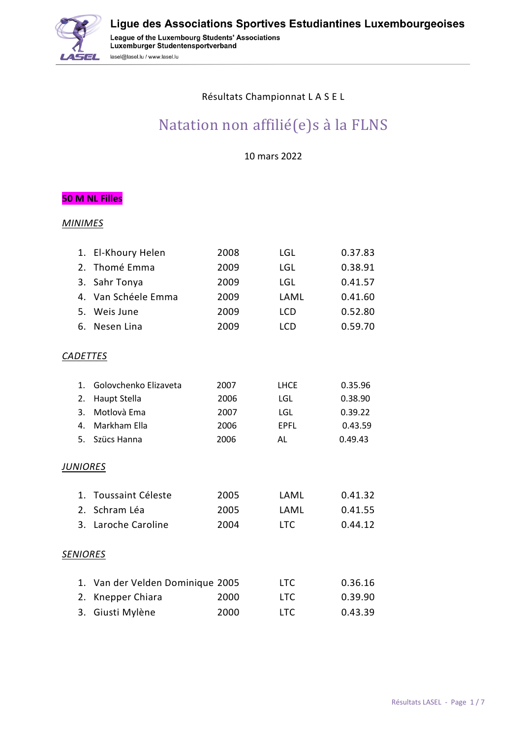

#### Résultats Championnat L A S E L

# Natation non affilié(e)s à la FLNS

10 mars 2022

#### **50 M NL Filles**

|                 | 1. El-Khoury Helen            | 2008 | LGL         | 0.37.83 |
|-----------------|-------------------------------|------|-------------|---------|
| 2.              | Thomé Emma                    | 2009 | LGL         | 0.38.91 |
| 3.              | Sahr Tonya                    | 2009 | LGL         | 0.41.57 |
| 4.              | Van Schéele Emma              | 2009 | LAML        | 0.41.60 |
| 5.              | Weis June                     | 2009 | <b>LCD</b>  | 0.52.80 |
| 6.              | Nesen Lina                    | 2009 | <b>LCD</b>  | 0.59.70 |
| <b>CADETTES</b> |                               |      |             |         |
| 1.              | Golovchenko Elizaveta         | 2007 | <b>LHCE</b> | 0.35.96 |
| 2.              | <b>Haupt Stella</b>           | 2006 | <b>LGL</b>  | 0.38.90 |
| 3.              | Motlovà Ema                   | 2007 | <b>LGL</b>  | 0.39.22 |
| 4.              | Markham Ella                  | 2006 | <b>EPFL</b> | 0.43.59 |
| 5.              | Szücs Hanna                   | 2006 | <b>AL</b>   | 0.49.43 |
| <b>JUNIORES</b> |                               |      |             |         |
| 1.              | Toussaint Céleste             | 2005 | LAML        | 0.41.32 |
| 2.              | Schram Léa                    | 2005 | LAML        | 0.41.55 |
|                 | 3. Laroche Caroline           | 2004 | <b>LTC</b>  | 0.44.12 |
| <b>SENIORES</b> |                               |      |             |         |
| 1.              | Van der Velden Dominique 2005 |      | <b>LTC</b>  | 0.36.16 |
| 2.              | Knepper Chiara                | 2000 | <b>LTC</b>  | 0.39.90 |
| 3.              | Giusti Mylène                 | 2000 | <b>LTC</b>  | 0.43.39 |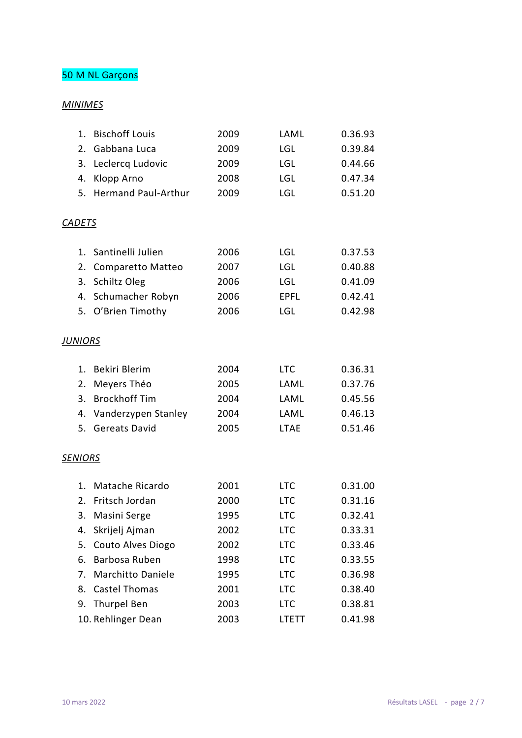## 50 M NL Garçons

| 1.             | <b>Bischoff Louis</b>      | 2009 | LAML         | 0.36.93 |
|----------------|----------------------------|------|--------------|---------|
| 2.             | Gabbana Luca               | 2009 | <b>LGL</b>   | 0.39.84 |
| 3.             | Leclercq Ludovic           | 2009 | <b>LGL</b>   | 0.44.66 |
| 4.             | Klopp Arno                 | 2008 | <b>LGL</b>   | 0.47.34 |
| 5.             | <b>Hermand Paul-Arthur</b> | 2009 | LGL          | 0.51.20 |
|                |                            |      |              |         |
| <b>CADETS</b>  |                            |      |              |         |
|                |                            |      |              |         |
| $1_{\cdot}$    | Santinelli Julien          | 2006 | <b>LGL</b>   | 0.37.53 |
| 2.             | Comparetto Matteo          | 2007 | <b>LGL</b>   | 0.40.88 |
| 3.             | Schiltz Oleg               | 2006 | <b>LGL</b>   | 0.41.09 |
| 4.             | Schumacher Robyn           | 2006 | <b>EPFL</b>  | 0.42.41 |
|                | 5. O'Brien Timothy         | 2006 | LGL          | 0.42.98 |
|                |                            |      |              |         |
| <b>JUNIORS</b> |                            |      |              |         |
| 1.             | Bekiri Blerim              | 2004 | <b>LTC</b>   | 0.36.31 |
| 2.             | Meyers Théo                | 2005 | LAML         | 0.37.76 |
| 3.             | <b>Brockhoff Tim</b>       | 2004 | LAML         | 0.45.56 |
| 4.             | Vanderzypen Stanley        | 2004 | LAML         | 0.46.13 |
| 5.             | <b>Gereats David</b>       | 2005 | <b>LTAE</b>  | 0.51.46 |
|                |                            |      |              |         |
| <b>SENIORS</b> |                            |      |              |         |
|                |                            |      |              |         |
| 1.             | Matache Ricardo            | 2001 | <b>LTC</b>   | 0.31.00 |
| 2.             | Fritsch Jordan             | 2000 | <b>LTC</b>   | 0.31.16 |
| 3.             | Masini Serge               | 1995 | <b>LTC</b>   | 0.32.41 |
| 4.             | Skrijelj Ajman             | 2002 | <b>LTC</b>   | 0.33.31 |
| 5.             | Couto Alves Diogo          | 2002 | <b>LTC</b>   | 0.33.46 |
| 6.             | Barbosa Ruben              | 1998 | <b>LTC</b>   | 0.33.55 |
| 7.             | <b>Marchitto Daniele</b>   | 1995 | <b>LTC</b>   | 0.36.98 |
| 8.             | <b>Castel Thomas</b>       | 2001 | <b>LTC</b>   | 0.38.40 |
|                | 9. Thurpel Ben             | 2003 | <b>LTC</b>   | 0.38.81 |
|                | 10. Rehlinger Dean         | 2003 | <b>LTETT</b> | 0.41.98 |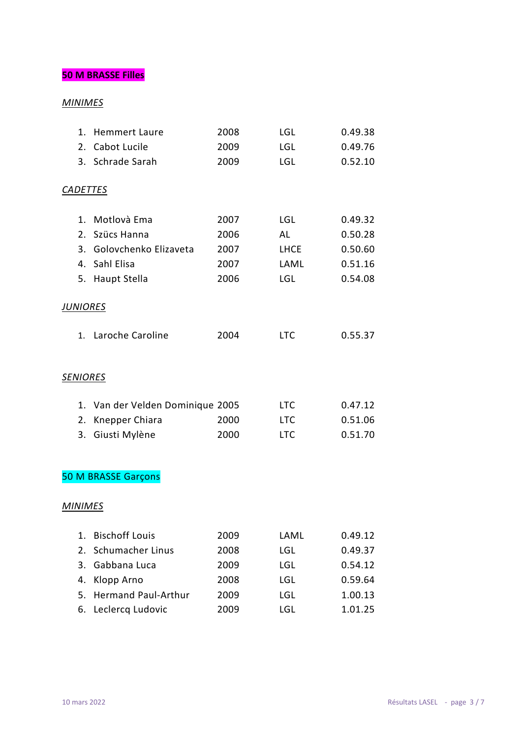### **50 M BRASSE Filles**

| 1.              | <b>Hemmert Laure</b>             | 2008 | LGL         | 0.49.38 |
|-----------------|----------------------------------|------|-------------|---------|
| 2.              | Cabot Lucile                     | 2009 | LGL         | 0.49.76 |
|                 | 3. Schrade Sarah                 | 2009 | LGL         | 0.52.10 |
|                 |                                  |      |             |         |
|                 | <b>CADETTES</b>                  |      |             |         |
|                 |                                  |      |             |         |
|                 | Motlovà Ema<br>1.                | 2007 | <b>LGL</b>  | 0.49.32 |
|                 | 2. Szücs Hanna                   | 2006 | AL          | 0.50.28 |
|                 | 3. Golovchenko Elizaveta         | 2007 | <b>LHCE</b> | 0.50.60 |
|                 | 4. Sahl Elisa                    | 2007 | LAML        | 0.51.16 |
|                 | 5. Haupt Stella                  | 2006 | LGL         | 0.54.08 |
|                 |                                  |      |             |         |
| <u>JUNIORES</u> |                                  |      |             |         |
|                 | 1. Laroche Caroline              | 2004 | <b>LTC</b>  | 0.55.37 |
|                 |                                  |      |             |         |
|                 |                                  |      |             |         |
| <b>SENIORES</b> |                                  |      |             |         |
|                 |                                  |      |             |         |
|                 | 1. Van der Velden Dominique 2005 |      | <b>LTC</b>  | 0.47.12 |
| 2.              | Knepper Chiara                   | 2000 | <b>LTC</b>  | 0.51.06 |
|                 | Giusti Mylène<br>3.              | 2000 | <b>LTC</b>  | 0.51.70 |
|                 |                                  |      |             |         |
|                 |                                  |      |             |         |
|                 | <b>50 M BRASSE Garçons</b>       |      |             |         |
|                 |                                  |      |             |         |
| <b>MINIMES</b>  |                                  |      |             |         |
| 1.              | <b>Bischoff Louis</b>            | 2009 | LAML        | 0.49.12 |
| 2.              | Schumacher Linus                 | 2008 | LGL         | 0.49.37 |
| 3.              | Gabbana Luca                     | 2009 | LGL         | 0.54.12 |
| 4.              | Klopp Arno                       | 2008 | LGL         | 0.59.64 |
| 5.              | <b>Hermand Paul-Arthur</b>       | 2009 | LGL         | 1.00.13 |
| 6.              | Leclercq Ludovic                 | 2009 | LGL         | 1.01.25 |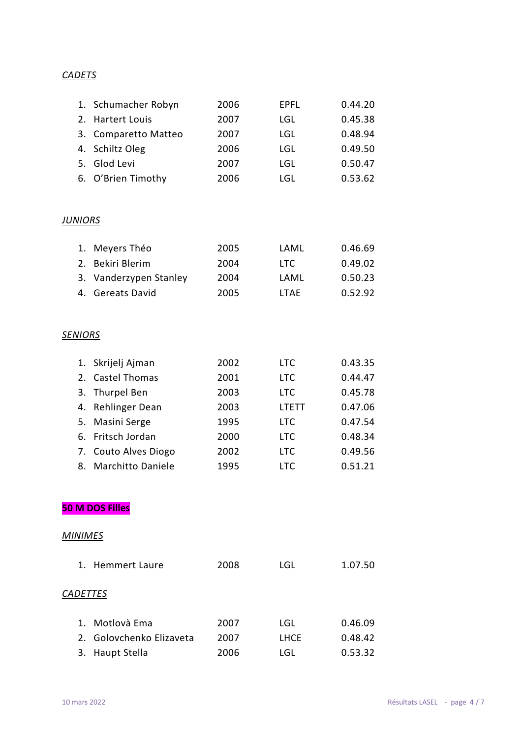#### *CADETS*

| 1. Schumacher Robyn  | 2006 | EPFL | 0.44.20 |
|----------------------|------|------|---------|
| 2. Hartert Louis     | 2007 | LGL  | 0.45.38 |
| 3. Comparetto Matteo | 2007 | LGL  | 0.48.94 |
| 4. Schiltz Oleg      | 2006 | LGL  | 0.49.50 |
| 5. Glod Levi         | 2007 | LGL  | 0.50.47 |
| 6. O'Brien Timothy   | 2006 | LGL  | 0.53.62 |

#### *JUNIORS*

| 1. Meyers Théo         | 2005 | LAML  | 0.46.69 |
|------------------------|------|-------|---------|
| 2. Bekiri Blerim       | 2004 | LTC.  | 0.49.02 |
| 3. Vanderzypen Stanley | 2004 | LAML  | 0.50.23 |
| 4. Gereats David       | 2005 | I TAF | 0.52.92 |

#### *SENIORS*

| 1. Skrijelj Ajman    | 2002 | <b>LTC</b>   | 0.43.35 |
|----------------------|------|--------------|---------|
| 2. Castel Thomas     | 2001 | <b>LTC</b>   | 0.44.47 |
| 3. Thurpel Ben       | 2003 | <b>LTC</b>   | 0.45.78 |
| 4. Rehlinger Dean    | 2003 | <b>LTETT</b> | 0.47.06 |
| 5. Masini Serge      | 1995 | <b>LTC</b>   | 0.47.54 |
| 6. Fritsch Jordan    | 2000 | <b>LTC</b>   | 0.48.34 |
| 7. Couto Alves Diogo | 2002 | <b>LTC</b>   | 0.49.56 |
| 8. Marchitto Daniele | 1995 | LTC.         | 0.51.21 |

**50 M DOS Filles**

|                 | 1. Hemmert Laure         | 2008 | LGL         | 1.07.50 |
|-----------------|--------------------------|------|-------------|---------|
| <b>CADETTES</b> |                          |      |             |         |
|                 | 1. Motlovà Ema           | 2007 | LGL         | 0.46.09 |
|                 | 2. Golovchenko Elizaveta | 2007 | <b>LHCE</b> | 0.48.42 |
| 3.              | <b>Haupt Stella</b>      | 2006 | LGL         | 0.53.32 |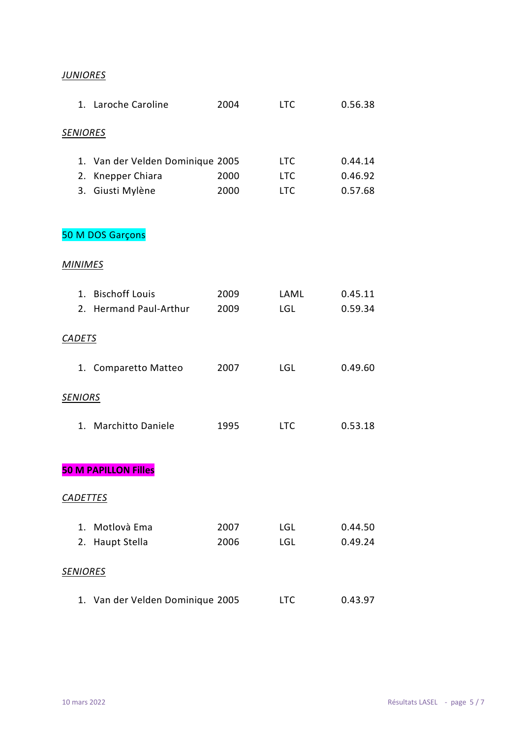#### *JUNIORES*

|                 | 1. Laroche Caroline              | 2004 | <b>LTC</b> | 0.56.38 |
|-----------------|----------------------------------|------|------------|---------|
| <u>SENIORES</u> |                                  |      |            |         |
|                 |                                  |      |            |         |
|                 | 1. Van der Velden Dominique 2005 |      | <b>LTC</b> | 0.44.14 |
|                 | 2. Knepper Chiara                | 2000 | <b>LTC</b> | 0.46.92 |
|                 | 3. Giusti Mylène                 | 2000 | <b>LTC</b> | 0.57.68 |
|                 | 50 M DOS Garçons                 |      |            |         |
| <b>MINIMES</b>  |                                  |      |            |         |
|                 | 1. Bischoff Louis                | 2009 | LAML       | 0.45.11 |
|                 | 2. Hermand Paul-Arthur           | 2009 | <b>LGL</b> | 0.59.34 |
|                 |                                  |      |            |         |
| <b>CADETS</b>   |                                  |      |            |         |
|                 | 1. Comparetto Matteo             | 2007 | LGL        | 0.49.60 |
| <b>SENIORS</b>  |                                  |      |            |         |
|                 | 1. Marchitto Daniele             | 1995 | <b>LTC</b> | 0.53.18 |
|                 |                                  |      |            |         |
|                 | <b>50 M PAPILLON Filles</b>      |      |            |         |
| <b>CADETTES</b> |                                  |      |            |         |
| 1.              | Motlovà Ema                      | 2007 | <b>LGL</b> | 0.44.50 |
| 2.              | Haupt Stella                     | 2006 | LGL        | 0.49.24 |
|                 |                                  |      |            |         |
| <b>SENIORES</b> |                                  |      |            |         |
|                 | 1. Van der Velden Dominique 2005 |      | <b>LTC</b> | 0.43.97 |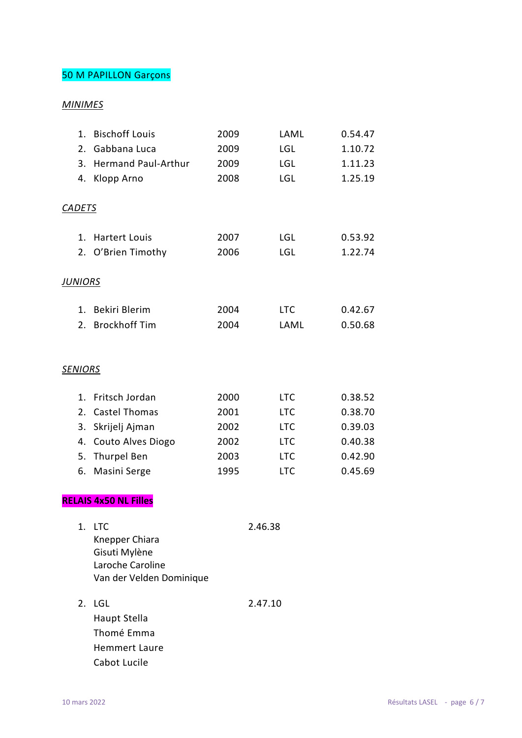### 50 M PAPILLON Garçons

#### *MINIMES*

| 1 <sup>1</sup><br>2.<br>3.<br>4. | <b>Bischoff Louis</b><br>Gabbana Luca<br><b>Hermand Paul-Arthur</b><br>Klopp Arno                     | 2009<br>2009<br>2009<br>2008                 |         | LAML<br><b>LGL</b><br><b>LGL</b><br><b>LGL</b>                                   | 0.54.47<br>1.10.72<br>1.11.23<br>1.25.19                       |
|----------------------------------|-------------------------------------------------------------------------------------------------------|----------------------------------------------|---------|----------------------------------------------------------------------------------|----------------------------------------------------------------|
| <b>CADETS</b>                    |                                                                                                       |                                              |         |                                                                                  |                                                                |
| $1_{-}$<br>2.                    | <b>Hartert Louis</b><br>O'Brien Timothy                                                               | 2007<br>2006                                 |         | <b>LGL</b><br><b>LGL</b>                                                         | 0.53.92<br>1.22.74                                             |
| <b>JUNIORS</b>                   |                                                                                                       |                                              |         |                                                                                  |                                                                |
| $1_{-}$<br>2.                    | Bekiri Blerim<br><b>Brockhoff Tim</b>                                                                 | 2004<br>2004                                 |         | <b>LTC</b><br>LAML                                                               | 0.42.67<br>0.50.68                                             |
| <b>SENIORS</b>                   |                                                                                                       |                                              |         |                                                                                  |                                                                |
| 1.<br>2.<br>3.<br>4.<br>5.<br>6. | Fritsch Jordan<br>Castel Thomas<br>Skrijelj Ajman<br>Couto Alves Diogo<br>Thurpel Ben<br>Masini Serge | 2000<br>2001<br>2002<br>2002<br>2003<br>1995 |         | <b>LTC</b><br><b>LTC</b><br><b>LTC</b><br><b>LTC</b><br><b>LTC</b><br><b>LTC</b> | 0.38.52<br>0.38.70<br>0.39.03<br>0.40.38<br>0.42.90<br>0.45.69 |
|                                  | <b>RELAIS 4x50 NL Filles</b>                                                                          |                                              |         |                                                                                  |                                                                |
|                                  | 1. LTC<br>Knepper Chiara<br>Gisuti Mylène<br>Laroche Caroline<br>Van der Velden Dominique             |                                              | 2.46.38 |                                                                                  |                                                                |
| 2.                               | LGL<br>Haupt Stella<br>Thomé Emma<br><b>Hemmert Laure</b>                                             |                                              | 2.47.10 |                                                                                  |                                                                |

Cabot Lucile